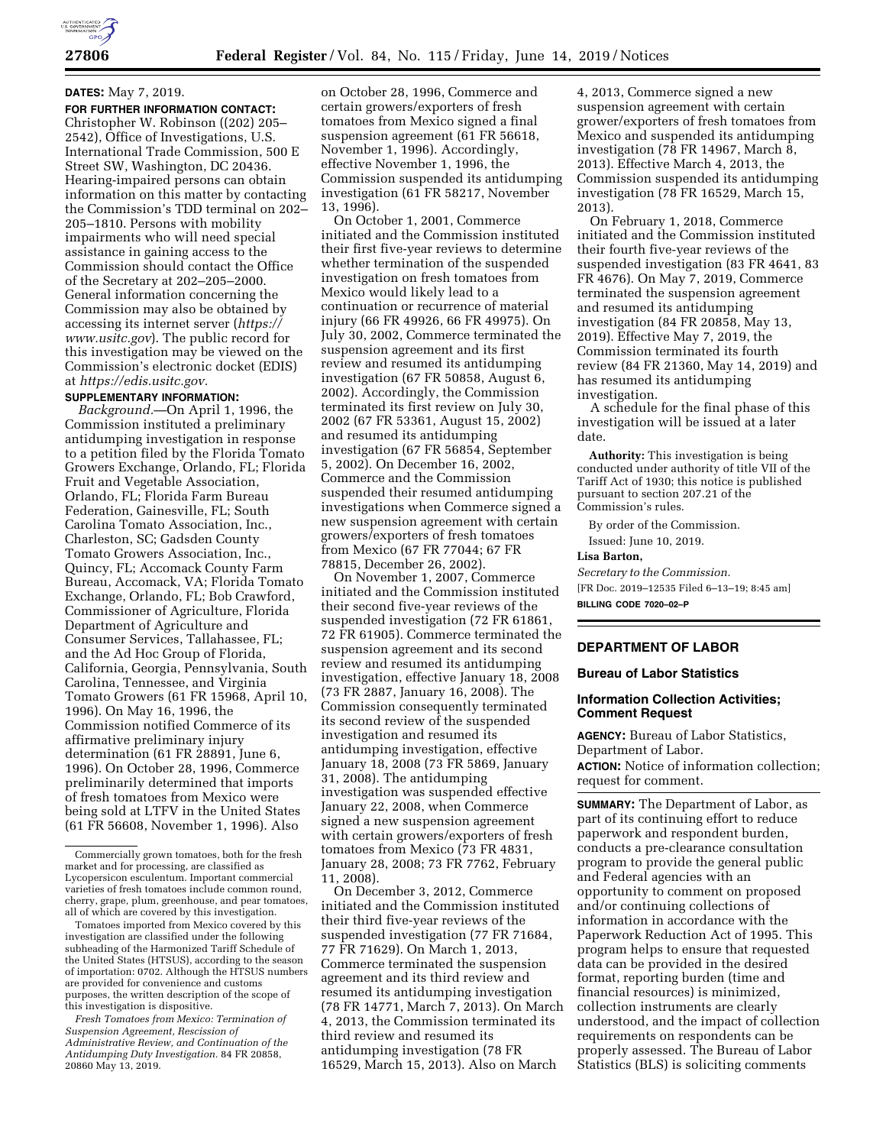# **DATES:** May 7, 2019.

**FOR FURTHER INFORMATION CONTACT:**  Christopher W. Robinson ((202) 205– 2542), Office of Investigations, U.S. International Trade Commission, 500 E Street SW, Washington, DC 20436. Hearing-impaired persons can obtain information on this matter by contacting the Commission's TDD terminal on 202– 205–1810. Persons with mobility impairments who will need special assistance in gaining access to the Commission should contact the Office of the Secretary at 202–205–2000. General information concerning the Commission may also be obtained by accessing its internet server (*[https://](https://www.usitc.gov) [www.usitc.gov](https://www.usitc.gov)*). The public record for this investigation may be viewed on the Commission's electronic docket (EDIS) at *[https://edis.usitc.gov.](https://edis.usitc.gov)* 

# **SUPPLEMENTARY INFORMATION:**

*Background.*—On April 1, 1996, the Commission instituted a preliminary antidumping investigation in response to a petition filed by the Florida Tomato Growers Exchange, Orlando, FL; Florida Fruit and Vegetable Association, Orlando, FL; Florida Farm Bureau Federation, Gainesville, FL; South Carolina Tomato Association, Inc., Charleston, SC; Gadsden County Tomato Growers Association, Inc., Quincy, FL; Accomack County Farm Bureau, Accomack, VA; Florida Tomato Exchange, Orlando, FL; Bob Crawford, Commissioner of Agriculture, Florida Department of Agriculture and Consumer Services, Tallahassee, FL; and the Ad Hoc Group of Florida, California, Georgia, Pennsylvania, South Carolina, Tennessee, and Virginia Tomato Growers (61 FR 15968, April 10, 1996). On May 16, 1996, the Commission notified Commerce of its affirmative preliminary injury determination (61 FR 28891, June 6, 1996). On October 28, 1996, Commerce preliminarily determined that imports of fresh tomatoes from Mexico were being sold at LTFV in the United States (61 FR 56608, November 1, 1996). Also

Tomatoes imported from Mexico covered by this investigation are classified under the following subheading of the Harmonized Tariff Schedule of the United States (HTSUS), according to the season of importation: 0702. Although the HTSUS numbers are provided for convenience and customs purposes, the written description of the scope of this investigation is dispositive.

*Fresh Tomatoes from Mexico: Termination of Suspension Agreement, Rescission of Administrative Review, and Continuation of the Antidumping Duty Investigation.* 84 FR 20858, 20860 May 13, 2019.

on October 28, 1996, Commerce and certain growers/exporters of fresh tomatoes from Mexico signed a final suspension agreement (61 FR 56618, November 1, 1996). Accordingly, effective November 1, 1996, the Commission suspended its antidumping investigation (61 FR 58217, November 13, 1996).

On October 1, 2001, Commerce initiated and the Commission instituted their first five-year reviews to determine whether termination of the suspended investigation on fresh tomatoes from Mexico would likely lead to a continuation or recurrence of material injury (66 FR 49926, 66 FR 49975). On July 30, 2002, Commerce terminated the suspension agreement and its first review and resumed its antidumping investigation (67 FR 50858, August 6, 2002). Accordingly, the Commission terminated its first review on July 30, 2002 (67 FR 53361, August 15, 2002) and resumed its antidumping investigation (67 FR 56854, September 5, 2002). On December 16, 2002, Commerce and the Commission suspended their resumed antidumping investigations when Commerce signed a new suspension agreement with certain growers/exporters of fresh tomatoes from Mexico (67 FR 77044; 67 FR 78815, December 26, 2002).

On November 1, 2007, Commerce initiated and the Commission instituted their second five-year reviews of the suspended investigation (72 FR 61861, 72 FR 61905). Commerce terminated the suspension agreement and its second review and resumed its antidumping investigation, effective January 18, 2008 (73 FR 2887, January 16, 2008). The Commission consequently terminated its second review of the suspended investigation and resumed its antidumping investigation, effective January 18, 2008 (73 FR 5869, January 31, 2008). The antidumping investigation was suspended effective January 22, 2008, when Commerce signed a new suspension agreement with certain growers/exporters of fresh tomatoes from Mexico (73 FR 4831, January 28, 2008; 73 FR 7762, February 11, 2008).

On December 3, 2012, Commerce initiated and the Commission instituted their third five-year reviews of the suspended investigation (77 FR 71684, 77 FR 71629). On March 1, 2013, Commerce terminated the suspension agreement and its third review and resumed its antidumping investigation (78 FR 14771, March 7, 2013). On March 4, 2013, the Commission terminated its third review and resumed its antidumping investigation (78 FR 16529, March 15, 2013). Also on March

4, 2013, Commerce signed a new suspension agreement with certain grower/exporters of fresh tomatoes from Mexico and suspended its antidumping investigation (78 FR 14967, March 8, 2013). Effective March 4, 2013, the Commission suspended its antidumping investigation (78 FR 16529, March 15, 2013).

On February 1, 2018, Commerce initiated and the Commission instituted their fourth five-year reviews of the suspended investigation (83 FR 4641, 83 FR 4676). On May 7, 2019, Commerce terminated the suspension agreement and resumed its antidumping investigation (84 FR 20858, May 13, 2019). Effective May 7, 2019, the Commission terminated its fourth review (84 FR 21360, May 14, 2019) and has resumed its antidumping investigation.

A schedule for the final phase of this investigation will be issued at a later date.

**Authority:** This investigation is being conducted under authority of title VII of the Tariff Act of 1930; this notice is published pursuant to section 207.21 of the Commission's rules.

By order of the Commission. Issued: June 10, 2019.

#### **Lisa Barton,**

*Secretary to the Commission.* 

[FR Doc. 2019–12535 Filed 6–13–19; 8:45 am]

**BILLING CODE 7020–02–P** 

### **DEPARTMENT OF LABOR**

#### **Bureau of Labor Statistics**

# **Information Collection Activities; Comment Request**

**AGENCY:** Bureau of Labor Statistics, Department of Labor. **ACTION:** Notice of information collection; request for comment.

**SUMMARY:** The Department of Labor, as part of its continuing effort to reduce paperwork and respondent burden, conducts a pre-clearance consultation program to provide the general public and Federal agencies with an opportunity to comment on proposed and/or continuing collections of information in accordance with the Paperwork Reduction Act of 1995. This program helps to ensure that requested data can be provided in the desired format, reporting burden (time and financial resources) is minimized, collection instruments are clearly understood, and the impact of collection requirements on respondents can be properly assessed. The Bureau of Labor Statistics (BLS) is soliciting comments

Commercially grown tomatoes, both for the fresh market and for processing, are classified as Lycopersicon esculentum. Important commercial varieties of fresh tomatoes include common round, cherry, grape, plum, greenhouse, and pear tomatoes, all of which are covered by this investigation.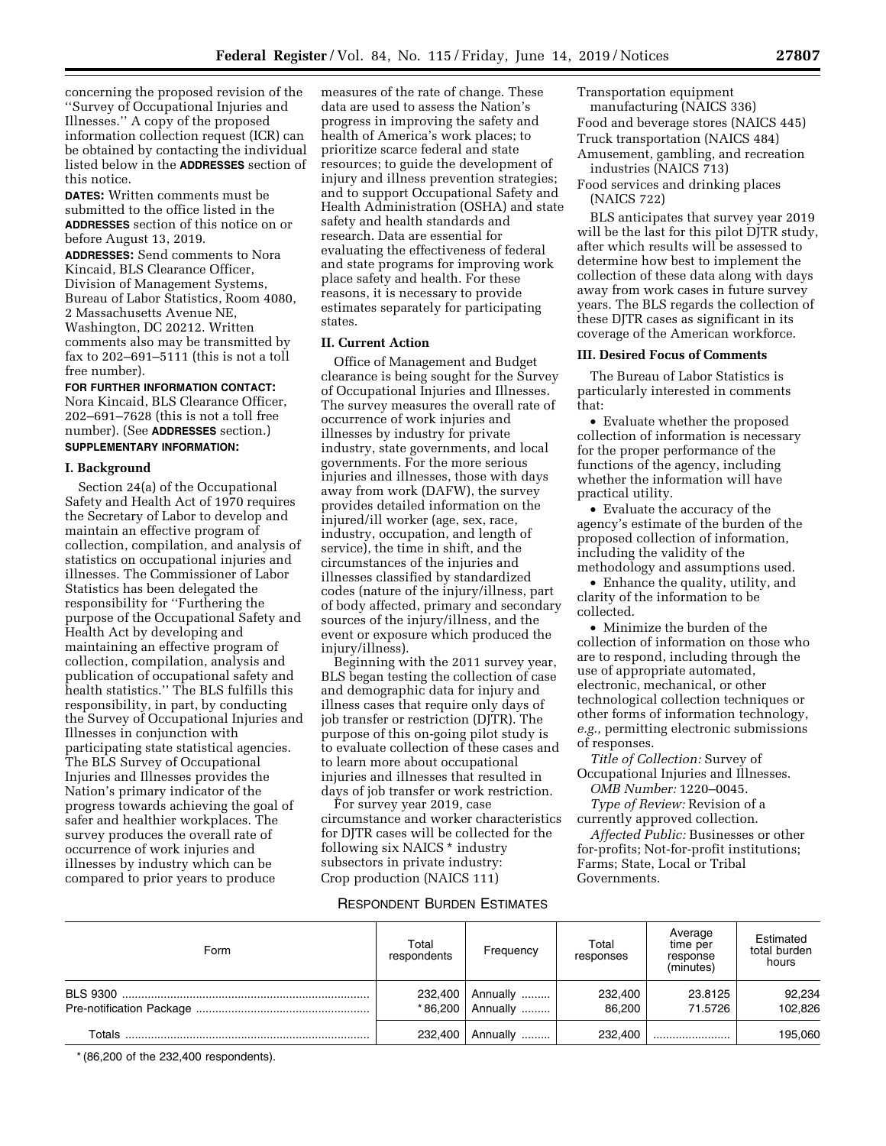concerning the proposed revision of the ''Survey of Occupational Injuries and Illnesses.'' A copy of the proposed information collection request (ICR) can be obtained by contacting the individual listed below in the **ADDRESSES** section of this notice.

**DATES:** Written comments must be submitted to the office listed in the **ADDRESSES** section of this notice on or before August 13, 2019.

**ADDRESSES:** Send comments to Nora Kincaid, BLS Clearance Officer, Division of Management Systems, Bureau of Labor Statistics, Room 4080, 2 Massachusetts Avenue NE, Washington, DC 20212. Written comments also may be transmitted by fax to 202–691–5111 (this is not a toll free number).

**FOR FURTHER INFORMATION CONTACT:**  Nora Kincaid, BLS Clearance Officer, 202–691–7628 (this is not a toll free number). (See **ADDRESSES** section.) **SUPPLEMENTARY INFORMATION:** 

#### **I. Background**

Section 24(a) of the Occupational Safety and Health Act of 1970 requires the Secretary of Labor to develop and maintain an effective program of collection, compilation, and analysis of statistics on occupational injuries and illnesses. The Commissioner of Labor Statistics has been delegated the responsibility for ''Furthering the purpose of the Occupational Safety and Health Act by developing and maintaining an effective program of collection, compilation, analysis and publication of occupational safety and health statistics.'' The BLS fulfills this responsibility, in part, by conducting the Survey of Occupational Injuries and Illnesses in conjunction with participating state statistical agencies. The BLS Survey of Occupational Injuries and Illnesses provides the Nation's primary indicator of the progress towards achieving the goal of safer and healthier workplaces. The survey produces the overall rate of occurrence of work injuries and illnesses by industry which can be compared to prior years to produce

measures of the rate of change. These data are used to assess the Nation's progress in improving the safety and health of America's work places; to prioritize scarce federal and state resources; to guide the development of injury and illness prevention strategies; and to support Occupational Safety and Health Administration (OSHA) and state safety and health standards and research. Data are essential for evaluating the effectiveness of federal and state programs for improving work place safety and health. For these reasons, it is necessary to provide estimates separately for participating states.

## **II. Current Action**

Office of Management and Budget clearance is being sought for the Survey of Occupational Injuries and Illnesses. The survey measures the overall rate of occurrence of work injuries and illnesses by industry for private industry, state governments, and local governments. For the more serious injuries and illnesses, those with days away from work (DAFW), the survey provides detailed information on the injured/ill worker (age, sex, race, industry, occupation, and length of service), the time in shift, and the circumstances of the injuries and illnesses classified by standardized codes (nature of the injury/illness, part of body affected, primary and secondary sources of the injury/illness, and the event or exposure which produced the injury/illness).

Beginning with the 2011 survey year, BLS began testing the collection of case and demographic data for injury and illness cases that require only days of job transfer or restriction (DJTR). The purpose of this on-going pilot study is to evaluate collection of these cases and to learn more about occupational injuries and illnesses that resulted in days of job transfer or work restriction.

For survey year 2019, case circumstance and worker characteristics for DJTR cases will be collected for the following six NAICS \* industry subsectors in private industry: Crop production (NAICS 111)

### RESPONDENT BURDEN ESTIMATES

Transportation equipment manufacturing (NAICS 336) Food and beverage stores (NAICS 445) Truck transportation (NAICS 484)

Amusement, gambling, and recreation industries (NAICS 713)

Food services and drinking places (NAICS 722)

BLS anticipates that survey year 2019 will be the last for this pilot DJTR study, after which results will be assessed to determine how best to implement the collection of these data along with days away from work cases in future survey years. The BLS regards the collection of these DJTR cases as significant in its coverage of the American workforce.

## **III. Desired Focus of Comments**

The Bureau of Labor Statistics is particularly interested in comments that:

• Evaluate whether the proposed collection of information is necessary for the proper performance of the functions of the agency, including whether the information will have practical utility.

• Evaluate the accuracy of the agency's estimate of the burden of the proposed collection of information, including the validity of the methodology and assumptions used.

• Enhance the quality, utility, and clarity of the information to be collected.

• Minimize the burden of the collection of information on those who are to respond, including through the use of appropriate automated, electronic, mechanical, or other technological collection techniques or other forms of information technology, *e.g.,* permitting electronic submissions of responses.

*Title of Collection:* Survey of Occupational Injuries and Illnesses.

*OMB Number:* 1220–0045.

*Type of Review:* Revision of a currently approved collection.

*Affected Public:* Businesses or other for-profits; Not-for-profit institutions; Farms; State, Local or Tribal Governments.

| Form   | Total<br>respondents | Frequency            | Total<br>responses | Average<br>time per<br>response<br>(minutes) | Estimated<br>total burden<br>hours |
|--------|----------------------|----------------------|--------------------|----------------------------------------------|------------------------------------|
|        | 232,400<br>*86.200   | Annually<br>Annually | 232,400<br>86.200  | 23.8125<br>71.5726                           | 92,234<br>102,826                  |
| Totals | 232,400              | Annually             | 232,400            |                                              | 195,060                            |

\* (86,200 of the 232,400 respondents).